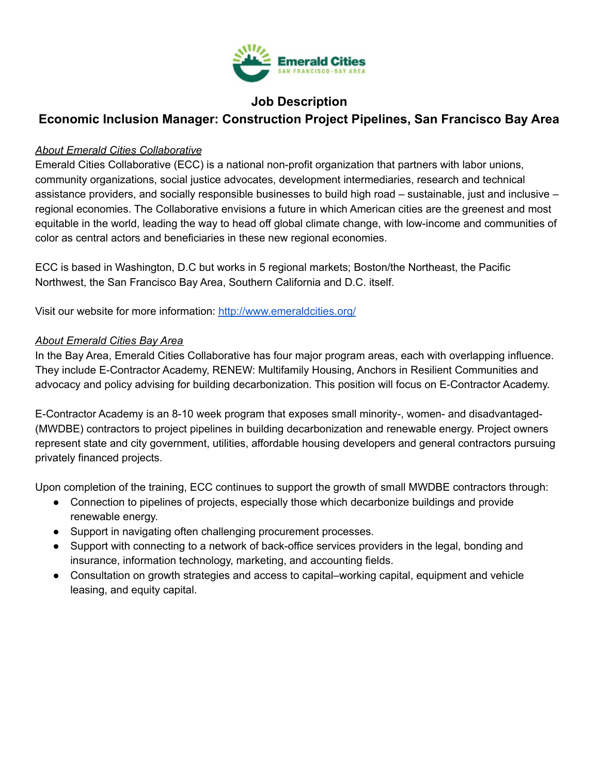

# **Job Description**

# **Economic Inclusion Manager: Construction Project Pipelines, San Francisco Bay Area**

#### *About Emerald Cities Collaborative*

Emerald Cities Collaborative (ECC) is a national non-profit organization that partners with labor unions, community organizations, social justice advocates, development intermediaries, research and technical assistance providers, and socially responsible businesses to build high road – sustainable, just and inclusive – regional economies. The Collaborative envisions a future in which American cities are the greenest and most equitable in the world, leading the way to head off global climate change, with low-income and communities of color as central actors and beneficiaries in these new regional economies.

ECC is based in Washington, D.C but works in 5 regional markets; Boston/the Northeast, the Pacific Northwest, the San Francisco Bay Area, Southern California and D.C. itself.

Visit our website for more information: <http://www.emeraldcities.org/>

## *About Emerald Cities Bay Area*

In the Bay Area, Emerald Cities Collaborative has four major program areas, each with overlapping influence. They include E-Contractor Academy, RENEW: Multifamily Housing, Anchors in Resilient Communities and advocacy and policy advising for building decarbonization. This position will focus on E-Contractor Academy.

E-Contractor Academy is an 8-10 week program that exposes small minority-, women- and disadvantaged- (MWDBE) contractors to project pipelines in building decarbonization and renewable energy. Project owners represent state and city government, utilities, affordable housing developers and general contractors pursuing privately financed projects.

Upon completion of the training, ECC continues to support the growth of small MWDBE contractors through:

- Connection to pipelines of projects, especially those which decarbonize buildings and provide renewable energy.
- Support in navigating often challenging procurement processes.
- Support with connecting to a network of back-office services providers in the legal, bonding and insurance, information technology, marketing, and accounting fields.
- Consultation on growth strategies and access to capital–working capital, equipment and vehicle leasing, and equity capital.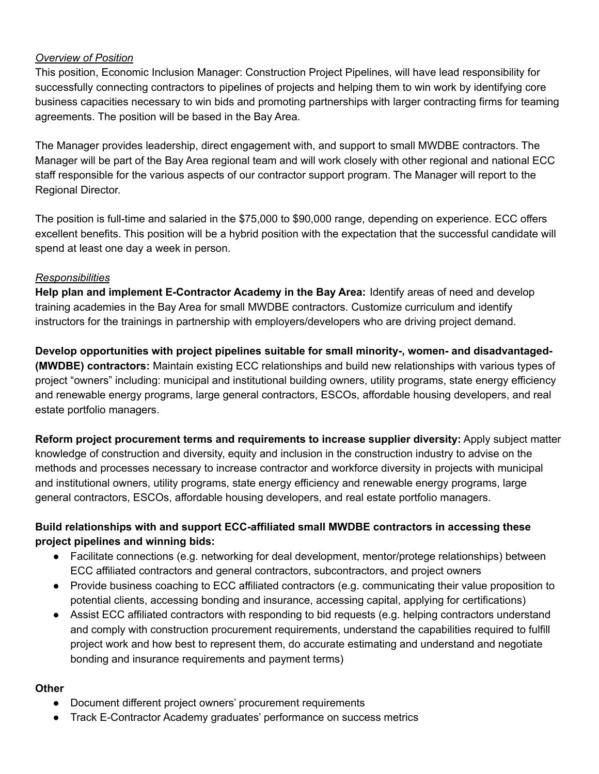#### *Overview of Position*

This position, Economic Inclusion Manager: Construction Project Pipelines, will have lead responsibility for successfully connecting contractors to pipelines of projects and helping them to win work by identifying core business capacities necessary to win bids and promoting partnerships with larger contracting firms for teaming agreements. The position will be based in the Bay Area.

The Manager provides leadership, direct engagement with, and support to small MWDBE contractors. The Manager will be part of the Bay Area regional team and will work closely with other regional and national ECC staff responsible for the various aspects of our contractor support program. The Manager will report to the Regional Director.

The position is full-time and salaried in the \$75,000 to \$90,000 range, depending on experience. ECC offers excellent benefits. This position will be a hybrid position with the expectation that the successful candidate will spend at least one day a week in person.

#### *Responsibilities*

**Help plan and implement E-Contractor Academy in the Bay Area:** Identify areas of need and develop training academies in the Bay Area for small MWDBE contractors. Customize curriculum and identify instructors for the trainings in partnership with employers/developers who are driving project demand.

**Develop opportunities with project pipelines suitable for small minority-, women- and disadvantaged- (MWDBE) contractors:** Maintain existing ECC relationships and build new relationships with various types of project "owners" including: municipal and institutional building owners, utility programs, state energy efficiency and renewable energy programs, large general contractors, ESCOs, affordable housing developers, and real estate portfolio managers.

**Reform project procurement terms and requirements to increase supplier diversity:** Apply subject matter knowledge of construction and diversity, equity and inclusion in the construction industry to advise on the methods and processes necessary to increase contractor and workforce diversity in projects with municipal and institutional owners, utility programs, state energy efficiency and renewable energy programs, large general contractors, ESCOs, affordable housing developers, and real estate portfolio managers.

## **Build relationships with and support ECC-affiliated small MWDBE contractors in accessing these project pipelines and winning bids:**

- Facilitate connections (e.g. networking for deal development, mentor/protege relationships) between ECC affiliated contractors and general contractors, subcontractors, and project owners
- Provide business coaching to ECC affiliated contractors (e.g. communicating their value proposition to potential clients, accessing bonding and insurance, accessing capital, applying for certifications)
- Assist ECC affiliated contractors with responding to bid requests (e.g. helping contractors understand and comply with construction procurement requirements, understand the capabilities required to fulfill project work and how best to represent them, do accurate estimating and understand and negotiate bonding and insurance requirements and payment terms)

#### **Other**

- Document different project owners' procurement requirements
- Track E-Contractor Academy graduates' performance on success metrics